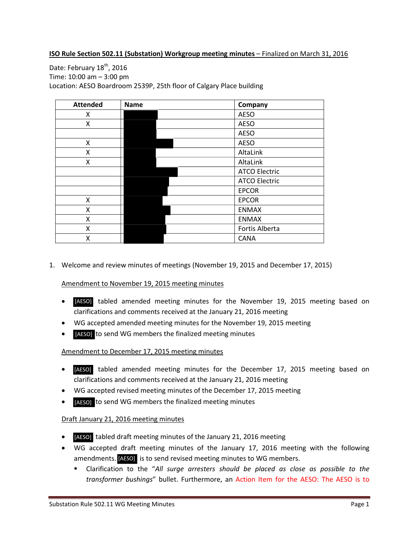#### **ISO Rule Section 502.11 (Substation) Workgroup meeting minutes** – Finalized on March 31, 2016

Date: February 18<sup>th</sup>, 2016 Time: 10:00 am – 3:00 pm Location: AESO Boardroom 2539P, 25th floor of Calgary Place building

| <b>Attended</b> | <b>Name</b> | Company              |
|-----------------|-------------|----------------------|
| x               |             | <b>AESO</b>          |
| X               |             | <b>AESO</b>          |
|                 |             | <b>AESO</b>          |
| X               |             | <b>AESO</b>          |
| x               |             | AltaLink             |
| X               |             | AltaLink             |
|                 |             | <b>ATCO Electric</b> |
|                 |             | <b>ATCO Electric</b> |
|                 |             | <b>EPCOR</b>         |
| X               |             | <b>EPCOR</b>         |
| X               |             | <b>ENMAX</b>         |
| X               |             | <b>ENMAX</b>         |
| x               |             | Fortis Alberta       |
| x               |             | <b>CANA</b>          |

1. Welcome and review minutes of meetings (November 19, 2015 and December 17, 2015)

Amendment to November 19, 2015 meeting minutes

- [AESO] tabled amended meeting minutes for the November 19, 2015 meeting based on clarifications and comments received at the January 21, 2016 meeting
- WG accepted amended meeting minutes for the November 19, 2015 meeting
- [AESO] to send WG members the finalized meeting minutes

#### Amendment to December 17, 2015 meeting minutes

- [AESO] tabled amended meeting minutes for the December 17, 2015 meeting based on clarifications and comments received at the January 21, 2016 meeting
- WG accepted revised meeting minutes of the December 17, 2015 meeting
- **[AESO]** to send WG members the finalized meeting minutes

#### Draft January 21, 2016 meeting minutes

- [AESO] tabled draft meeting minutes of the January 21, 2016 meeting
- WG accepted draft meeting minutes of the January 17, 2016 meeting with the following amendments. [AESO] is to send revised meeting minutes to WG members.
	- Clarification to the "*All surge arresters should be placed as close as possible to the transformer bushings*" bullet. Furthermore, an Action Item for the AESO: The AESO is to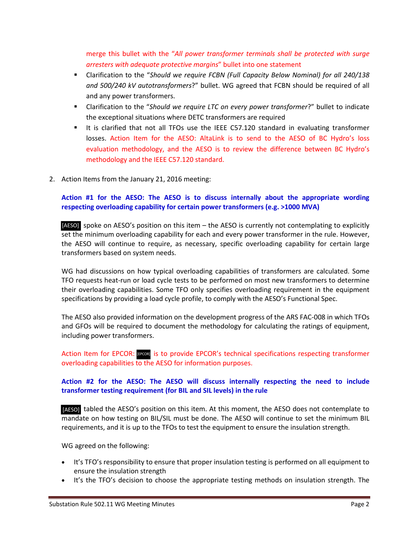merge this bullet with the "*All power transformer terminals shall be protected with surge arresters with adequate protective margins*" bullet into one statement

- Clarification to the "*Should we require FCBN (Full Capacity Below Nominal) for all 240/138 and 500/240 kV autotransformers*?" bullet. WG agreed that FCBN should be required of all and any power transformers.
- Clarification to the "*Should we require LTC on every power transformer*?" bullet to indicate the exceptional situations where DETC transformers are required
- It is clarified that not all TFOs use the IEEE C57.120 standard in evaluating transformer losses. Action Item for the AESO: AltaLink is to send to the AESO of BC Hydro's loss evaluation methodology, and the AESO is to review the difference between BC Hydro's methodology and the IEEE C57.120 standard.
- 2. Action Items from the January 21, 2016 meeting:

# **Action #1 for the AESO: The AESO is to discuss internally about the appropriate wording respecting overloading capability for certain power transformers (e.g. >1000 MVA)**

[AESO] spoke on AESO's position on this item - the AESO is currently not contemplating to explicitly set the minimum overloading capability for each and every power transformer in the rule. However, the AESO will continue to require, as necessary, specific overloading capability for certain large transformers based on system needs.

WG had discussions on how typical overloading capabilities of transformers are calculated. Some TFO requests heat-run or load cycle tests to be performed on most new transformers to determine their overloading capabilities. Some TFO only specifies overloading requirement in the equipment specifications by providing a load cycle profile, to comply with the AESO's Functional Spec.

The AESO also provided information on the development progress of the ARS FAC-008 in which TFOs and GFOs will be required to document the methodology for calculating the ratings of equipment, including power transformers.

Action Item for EPCOR: recon is to provide EPCOR's technical specifications respecting transformer overloading capabilities to the AESO for information purposes.

## **Action #2 for the AESO: The AESO will discuss internally respecting the need to include transformer testing requirement (for BIL and SIL levels) in the rule**

[AESO] tabled the AESO's position on this item. At this moment, the AESO does not contemplate to mandate on how testing on BIL/SIL must be done. The AESO will continue to set the minimum BIL requirements, and it is up to the TFOs to test the equipment to ensure the insulation strength.

WG agreed on the following:

- It's TFO's responsibility to ensure that proper insulation testing is performed on all equipment to ensure the insulation strength
- It's the TFO's decision to choose the appropriate testing methods on insulation strength. The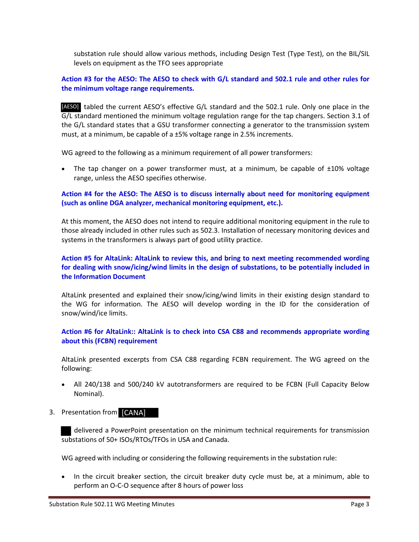substation rule should allow various methods, including Design Test (Type Test), on the BIL/SIL levels on equipment as the TFO sees appropriate

## **Action #3 for the AESO: The AESO to check with G/L standard and 502.1 rule and other rules for the minimum voltage range requirements.**

[AESO] tabled the current AESO's effective G/L standard and the 502.1 rule. Only one place in the G/L standard mentioned the minimum voltage regulation range for the tap changers. Section 3.1 of the G/L standard states that a GSU transformer connecting a generator to the transmission system must, at a minimum, be capable of a ±5% voltage range in 2.5% increments.

WG agreed to the following as a minimum requirement of all power transformers:

• The tap changer on a power transformer must, at a minimum, be capable of  $\pm 10\%$  voltage range, unless the AESO specifies otherwise.

#### **Action #4 for the AESO: The AESO is to discuss internally about need for monitoring equipment (such as online DGA analyzer, mechanical monitoring equipment, etc.).**

At this moment, the AESO does not intend to require additional monitoring equipment in the rule to those already included in other rules such as 502.3. Installation of necessary monitoring devices and systems in the transformers is always part of good utility practice.

# **Action #5 for AltaLink: AltaLink to review this, and bring to next meeting recommended wording for dealing with snow/icing/wind limits in the design of substations, to be potentially included in the Information Document**

AltaLink presented and explained their snow/icing/wind limits in their existing design standard to the WG for information. The AESO will develop wording in the ID for the consideration of snow/wind/ice limits.

## **Action #6 for AltaLink:: AltaLink is to check into CSA C88 and recommends appropriate wording about this (FCBN) requirement**

AltaLink presented excerpts from CSA C88 regarding FCBN requirement. The WG agreed on the following:

- All 240/138 and 500/240 kV autotransformers are required to be FCBN (Full Capacity Below Nominal).
- 3. Presentation from [CANA]

 delivered a PowerPoint presentation on the minimum technical requirements for transmission substations of 50+ ISOs/RTOs/TFOs in USA and Canada.

WG agreed with including or considering the following requirements in the substation rule:

• In the circuit breaker section, the circuit breaker duty cycle must be, at a minimum, able to perform an O-C-O sequence after 8 hours of power loss